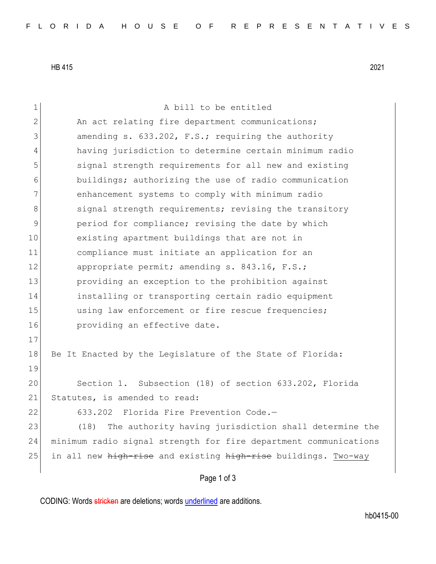HB 415 2021

Page 1 of 3 1 a bill to be entitled 2 An act relating fire department communications; 3 3 amending s. 633.202, F.S.; requiring the authority 4 having jurisdiction to determine certain minimum radio 5 signal strength requirements for all new and existing 6 buildings; authorizing the use of radio communication 7 enhancement systems to comply with minimum radio 8 signal strength requirements; revising the transitory 9 period for compliance; revising the date by which 10 existing apartment buildings that are not in 11 compliance must initiate an application for an 12 appropriate permit; amending s. 843.16, F.S.; 13 providing an exception to the prohibition against 14 installing or transporting certain radio equipment 15 using law enforcement or fire rescue frequencies; 16 **providing an effective date.** 17 18 Be It Enacted by the Legislature of the State of Florida: 19 20 Section 1. Subsection (18) of section 633.202, Florida 21 Statutes, is amended to read: 22 633.202 Florida Fire Prevention Code.— 23 (18) The authority having jurisdiction shall determine the 24 minimum radio signal strength for fire department communications 25 in all new high-rise and existing high-rise buildings. Two-way

CODING: Words stricken are deletions; words underlined are additions.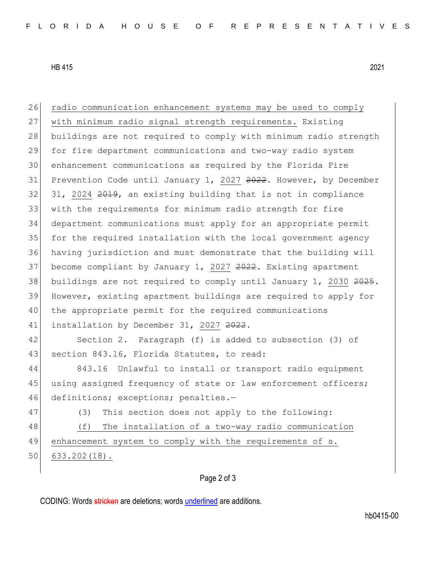HB 415 2021

26 radio communication enhancement systems may be used to comply with minimum radio signal strength requirements. Existing buildings are not required to comply with minimum radio strength for fire department communications and two-way radio system enhancement communications as required by the Florida Fire 31 Prevention Code until January 1, 2027 2022. However, by December 31, 2024  $2019$ , an existing building that is not in compliance with the requirements for minimum radio strength for fire department communications must apply for an appropriate permit for the required installation with the local government agency having jurisdiction and must demonstrate that the building will 37 become compliant by January 1, 2027 2022. Existing apartment 38 buildings are not required to comply until January 1, 2030  $2025$ . However, existing apartment buildings are required to apply for the appropriate permit for the required communications 41 installation by December 31, 2027 2022. Section 2. Paragraph (f) is added to subsection (3) of 43 section 843.16, Florida Statutes, to read: 843.16 Unlawful to install or transport radio equipment 45 using assigned frequency of state or law enforcement officers; 46 definitions; exceptions; penalties.-47 (3) This section does not apply to the following: (f) The installation of a two-way radio communication enhancement system to comply with the requirements of s. 633.202(18).

## Page 2 of 3

CODING: Words stricken are deletions; words underlined are additions.